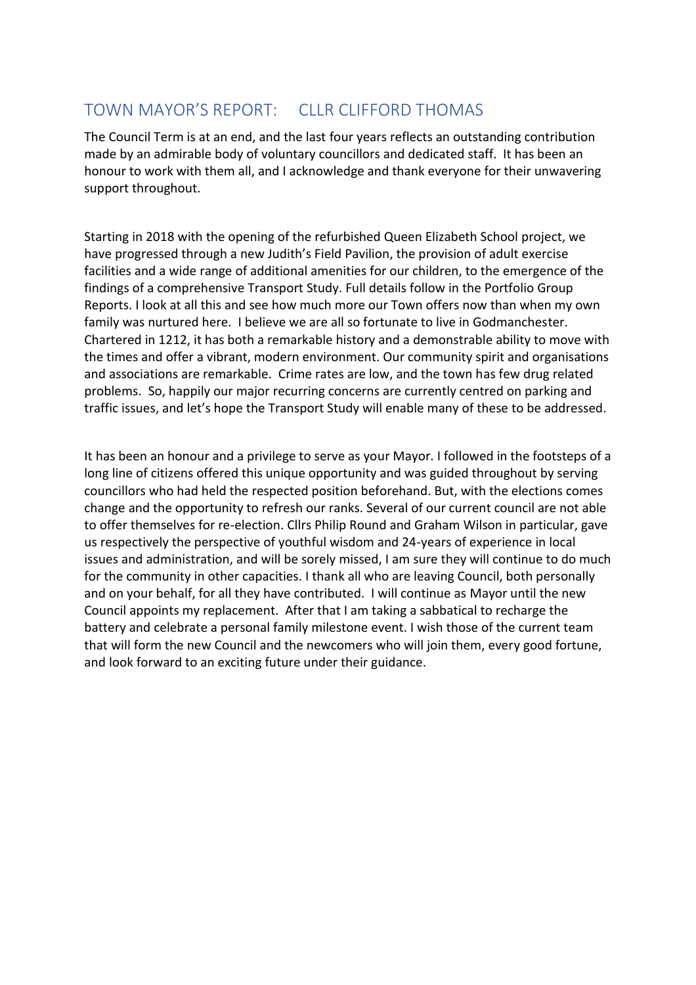# TOWN MAYOR'S REPORT: CLLR CLIFFORD THOMAS

The Council Term is at an end, and the last four years reflects an outstanding contribution made by an admirable body of voluntary councillors and dedicated staff. It has been an honour to work with them all, and I acknowledge and thank everyone for their unwavering support throughout.

Starting in 2018 with the opening of the refurbished Queen Elizabeth School project, we have progressed through a new Judith's Field Pavilion, the provision of adult exercise facilities and a wide range of additional amenities for our children, to the emergence of the findings of a comprehensive Transport Study. Full details follow in the Portfolio Group Reports. I look at all this and see how much more our Town offers now than when my own family was nurtured here. I believe we are all so fortunate to live in Godmanchester. Chartered in 1212, it has both a remarkable history and a demonstrable ability to move with the times and offer a vibrant, modern environment. Our community spirit and organisations and associations are remarkable. Crime rates are low, and the town has few drug related problems. So, happily our major recurring concerns are currently centred on parking and traffic issues, and let's hope the Transport Study will enable many of these to be addressed.

It has been an honour and a privilege to serve as your Mayor. I followed in the footsteps of a long line of citizens offered this unique opportunity and was guided throughout by serving councillors who had held the respected position beforehand. But, with the elections comes change and the opportunity to refresh our ranks. Several of our current council are not able to offer themselves for re-election. Cllrs Philip Round and Graham Wilson in particular, gave us respectively the perspective of youthful wisdom and 24-years of experience in local issues and administration, and will be sorely missed, I am sure they will continue to do much for the community in other capacities. I thank all who are leaving Council, both personally and on your behalf, for all they have contributed. I will continue as Mayor until the new Council appoints my replacement. After that I am taking a sabbatical to recharge the battery and celebrate a personal family milestone event. I wish those of the current team that will form the new Council and the newcomers who will join them, every good fortune, and look forward to an exciting future under their guidance.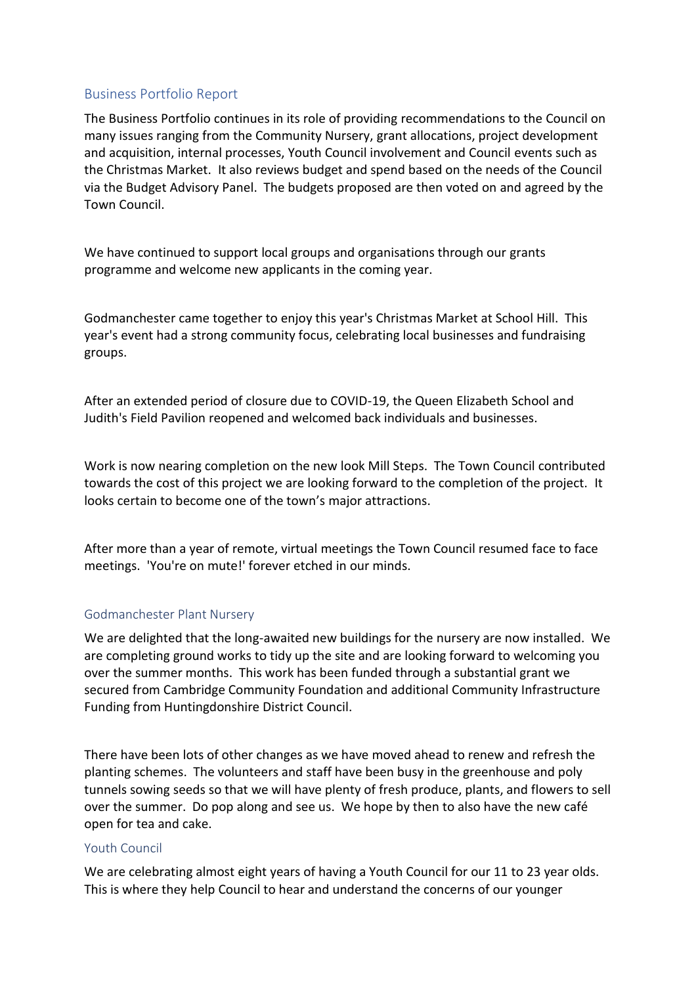## Business Portfolio Report

The Business Portfolio continues in its role of providing recommendations to the Council on many issues ranging from the Community Nursery, grant allocations, project development and acquisition, internal processes, Youth Council involvement and Council events such as the Christmas Market. It also reviews budget and spend based on the needs of the Council via the Budget Advisory Panel. The budgets proposed are then voted on and agreed by the Town Council.

We have continued to support local groups and organisations through our grants programme and welcome new applicants in the coming year.

Godmanchester came together to enjoy this year's Christmas Market at School Hill. This year's event had a strong community focus, celebrating local businesses and fundraising groups.

After an extended period of closure due to COVID-19, the Queen Elizabeth School and Judith's Field Pavilion reopened and welcomed back individuals and businesses.

Work is now nearing completion on the new look Mill Steps. The Town Council contributed towards the cost of this project we are looking forward to the completion of the project. It looks certain to become one of the town's major attractions.

After more than a year of remote, virtual meetings the Town Council resumed face to face meetings. 'You're on mute!' forever etched in our minds.

### Godmanchester Plant Nursery

We are delighted that the long-awaited new buildings for the nursery are now installed. We are completing ground works to tidy up the site and are looking forward to welcoming you over the summer months. This work has been funded through a substantial grant we secured from Cambridge Community Foundation and additional Community Infrastructure Funding from Huntingdonshire District Council.

There have been lots of other changes as we have moved ahead to renew and refresh the planting schemes. The volunteers and staff have been busy in the greenhouse and poly tunnels sowing seeds so that we will have plenty of fresh produce, plants, and flowers to sell over the summer. Do pop along and see us. We hope by then to also have the new café open for tea and cake.

### Youth Council

We are celebrating almost eight years of having a Youth Council for our 11 to 23 year olds. This is where they help Council to hear and understand the concerns of our younger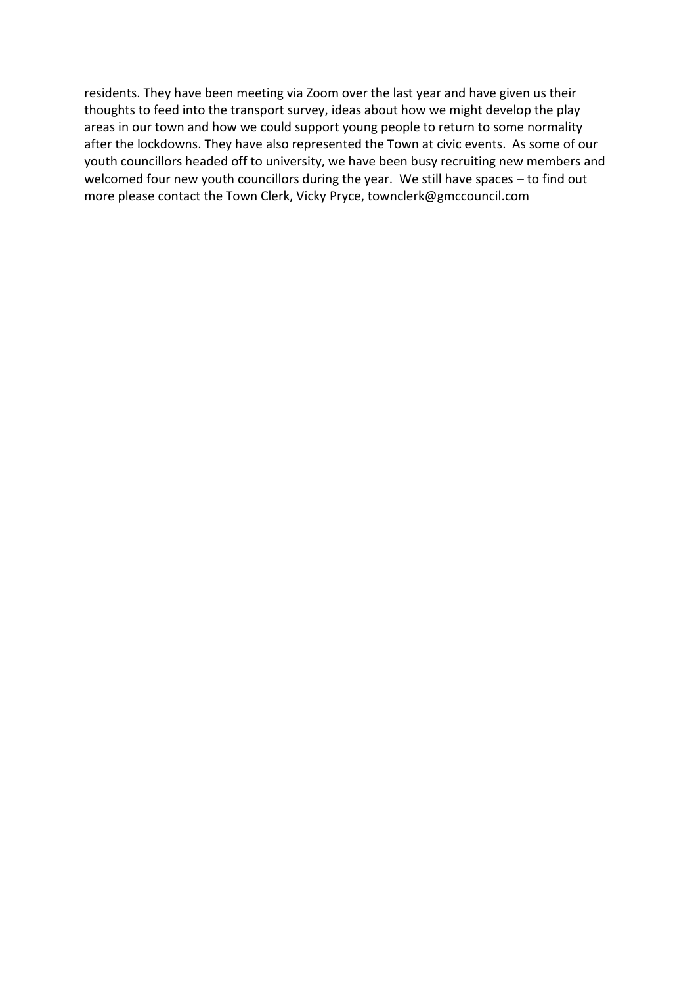residents. They have been meeting via Zoom over the last year and have given us their thoughts to feed into the transport survey, ideas about how we might develop the play areas in our town and how we could support young people to return to some normality after the lockdowns. They have also represented the Town at civic events. As some of our youth councillors headed off to university, we have been busy recruiting new members and welcomed four new youth councillors during the year. We still have spaces – to find out more please contact the Town Clerk, Vicky Pryce, [townclerk@gmccouncil.com](mailto:townclerk@gmccouncil.com)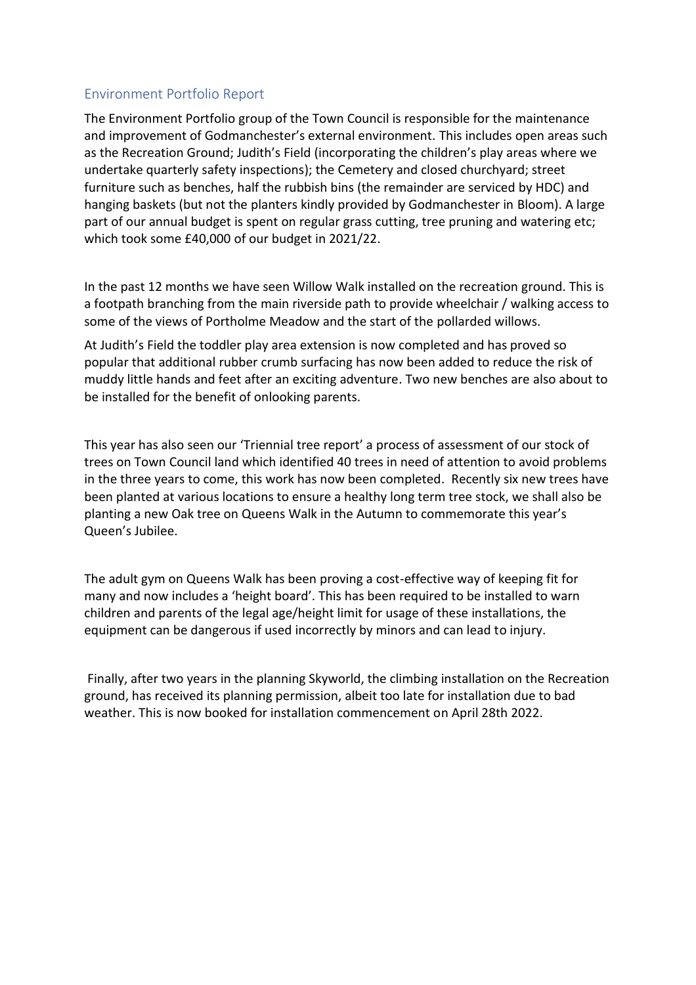## Environment Portfolio Report

The Environment Portfolio group of the Town Council is responsible for the maintenance and improvement of Godmanchester's external environment. This includes open areas such as the Recreation Ground; Judith's Field (incorporating the children's play areas where we undertake quarterly safety inspections); the Cemetery and closed churchyard; street furniture such as benches, half the rubbish bins (the remainder are serviced by HDC) and hanging baskets (but not the planters kindly provided by Godmanchester in Bloom). A large part of our annual budget is spent on regular grass cutting, tree pruning and watering etc; which took some £40,000 of our budget in 2021/22.

In the past 12 months we have seen Willow Walk installed on the recreation ground. This is a footpath branching from the main riverside path to provide wheelchair / walking access to some of the views of Portholme Meadow and the start of the pollarded willows.

At Judith's Field the toddler play area extension is now completed and has proved so popular that additional rubber crumb surfacing has now been added to reduce the risk of muddy little hands and feet after an exciting adventure. Two new benches are also about to be installed for the benefit of onlooking parents.

This year has also seen our 'Triennial tree report' a process of assessment of our stock of trees on Town Council land which identified 40 trees in need of attention to avoid problems in the three years to come, this work has now been completed. Recently six new trees have been planted at various locations to ensure a healthy long term tree stock, we shall also be planting a new Oak tree on Queens Walk in the Autumn to commemorate this year's Queen's Jubilee.

The adult gym on Queens Walk has been proving a cost-effective way of keeping fit for many and now includes a 'height board'. This has been required to be installed to warn children and parents of the legal age/height limit for usage of these installations, the equipment can be dangerous if used incorrectly by minors and can lead to injury.

Finally, after two years in the planning Skyworld, the climbing installation on the Recreation ground, has received its planning permission, albeit too late for installation due to bad weather. This is now booked for installation commencement on April 28th 2022.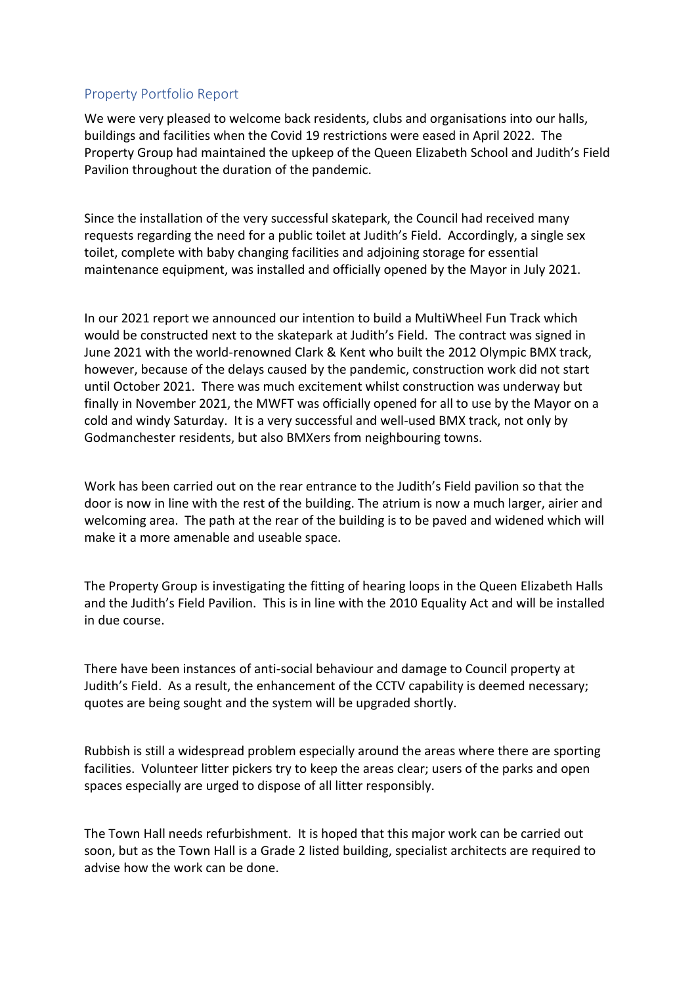## Property Portfolio Report

We were very pleased to welcome back residents, clubs and organisations into our halls, buildings and facilities when the Covid 19 restrictions were eased in April 2022. The Property Group had maintained the upkeep of the Queen Elizabeth School and Judith's Field Pavilion throughout the duration of the pandemic.

Since the installation of the very successful skatepark, the Council had received many requests regarding the need for a public toilet at Judith's Field. Accordingly, a single sex toilet, complete with baby changing facilities and adjoining storage for essential maintenance equipment, was installed and officially opened by the Mayor in July 2021.

In our 2021 report we announced our intention to build a MultiWheel Fun Track which would be constructed next to the skatepark at Judith's Field. The contract was signed in June 2021 with the world-renowned Clark & Kent who built the 2012 Olympic BMX track, however, because of the delays caused by the pandemic, construction work did not start until October 2021. There was much excitement whilst construction was underway but finally in November 2021, the MWFT was officially opened for all to use by the Mayor on a cold and windy Saturday. It is a very successful and well-used BMX track, not only by Godmanchester residents, but also BMXers from neighbouring towns.

Work has been carried out on the rear entrance to the Judith's Field pavilion so that the door is now in line with the rest of the building. The atrium is now a much larger, airier and welcoming area. The path at the rear of the building is to be paved and widened which will make it a more amenable and useable space.

The Property Group is investigating the fitting of hearing loops in the Queen Elizabeth Halls and the Judith's Field Pavilion. This is in line with the 2010 Equality Act and will be installed in due course.

There have been instances of anti-social behaviour and damage to Council property at Judith's Field. As a result, the enhancement of the CCTV capability is deemed necessary; quotes are being sought and the system will be upgraded shortly.

Rubbish is still a widespread problem especially around the areas where there are sporting facilities. Volunteer litter pickers try to keep the areas clear; users of the parks and open spaces especially are urged to dispose of all litter responsibly.

The Town Hall needs refurbishment. It is hoped that this major work can be carried out soon, but as the Town Hall is a Grade 2 listed building, specialist architects are required to advise how the work can be done.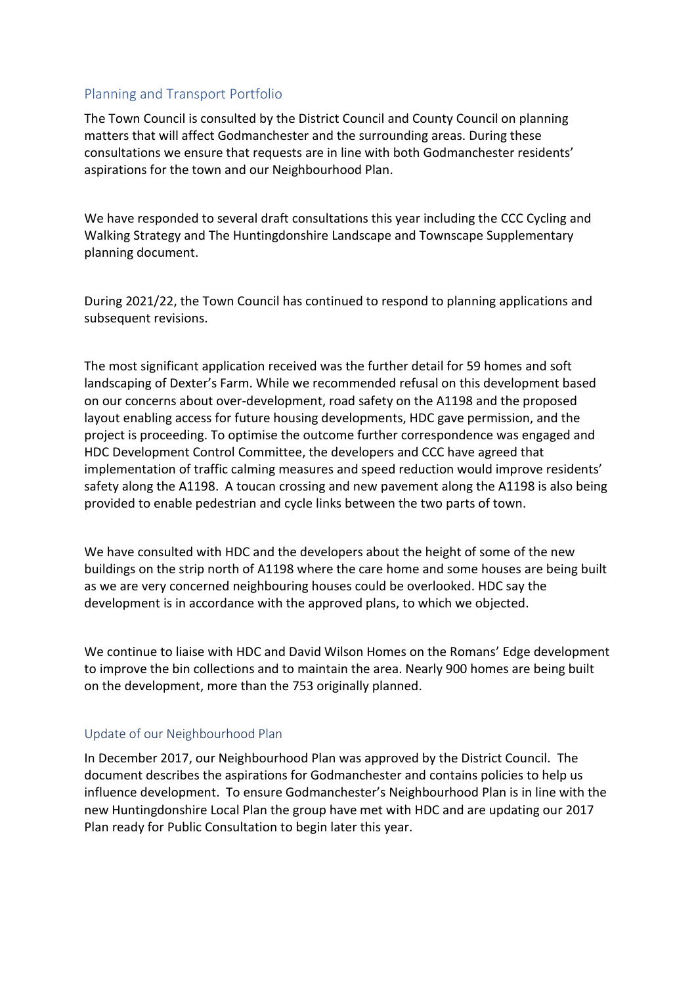## Planning and Transport Portfolio

The Town Council is consulted by the District Council and County Council on planning matters that will affect Godmanchester and the surrounding areas. During these consultations we ensure that requests are in line with both Godmanchester residents' aspirations for the town and our Neighbourhood Plan.

We have responded to several draft consultations this year including the CCC Cycling and Walking Strategy and The Huntingdonshire Landscape and Townscape Supplementary planning document.

During 2021/22, the Town Council has continued to respond to planning applications and subsequent revisions.

The most significant application received was the further detail for 59 homes and soft landscaping of Dexter's Farm. While we recommended refusal on this development based on our concerns about over-development, road safety on the A1198 and the proposed layout enabling access for future housing developments, HDC gave permission, and the project is proceeding. To optimise the outcome further correspondence was engaged and HDC Development Control Committee, the developers and CCC have agreed that implementation of traffic calming measures and speed reduction would improve residents' safety along the A1198. A toucan crossing and new pavement along the A1198 is also being provided to enable pedestrian and cycle links between the two parts of town.

We have consulted with HDC and the developers about the height of some of the new buildings on the strip north of A1198 where the care home and some houses are being built as we are very concerned neighbouring houses could be overlooked. HDC say the development is in accordance with the approved plans, to which we objected.

We continue to liaise with HDC and David Wilson Homes on the Romans' Edge development to improve the bin collections and to maintain the area. Nearly 900 homes are being built on the development, more than the 753 originally planned.

### Update of our Neighbourhood Plan

In December 2017, our Neighbourhood Plan was approved by the District Council. The document describes the aspirations for Godmanchester and contains policies to help us influence development. To ensure Godmanchester's Neighbourhood Plan is in line with the new Huntingdonshire Local Plan the group have met with HDC and are updating our 2017 Plan ready for Public Consultation to begin later this year.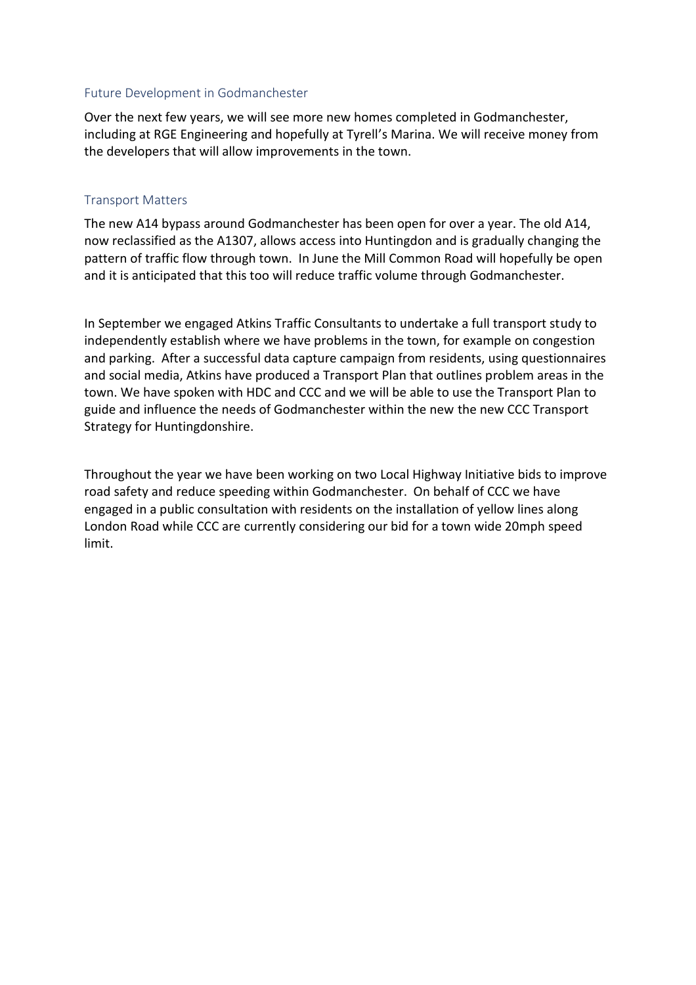#### Future Development in Godmanchester

Over the next few years, we will see more new homes completed in Godmanchester, including at RGE Engineering and hopefully at Tyrell's Marina. We will receive money from the developers that will allow improvements in the town.

#### Transport Matters

The new A14 bypass around Godmanchester has been open for over a year. The old A14, now reclassified as the A1307, allows access into Huntingdon and is gradually changing the pattern of traffic flow through town. In June the Mill Common Road will hopefully be open and it is anticipated that this too will reduce traffic volume through Godmanchester.

In September we engaged Atkins Traffic Consultants to undertake a full transport study to independently establish where we have problems in the town, for example on congestion and parking. After a successful data capture campaign from residents, using questionnaires and social media, Atkins have produced a Transport Plan that outlines problem areas in the town. We have spoken with HDC and CCC and we will be able to use the Transport Plan to guide and influence the needs of Godmanchester within the new the new CCC Transport Strategy for Huntingdonshire.

Throughout the year we have been working on two Local Highway Initiative bids to improve road safety and reduce speeding within Godmanchester. On behalf of CCC we have engaged in a public consultation with residents on the installation of yellow lines along London Road while CCC are currently considering our bid for a town wide 20mph speed limit.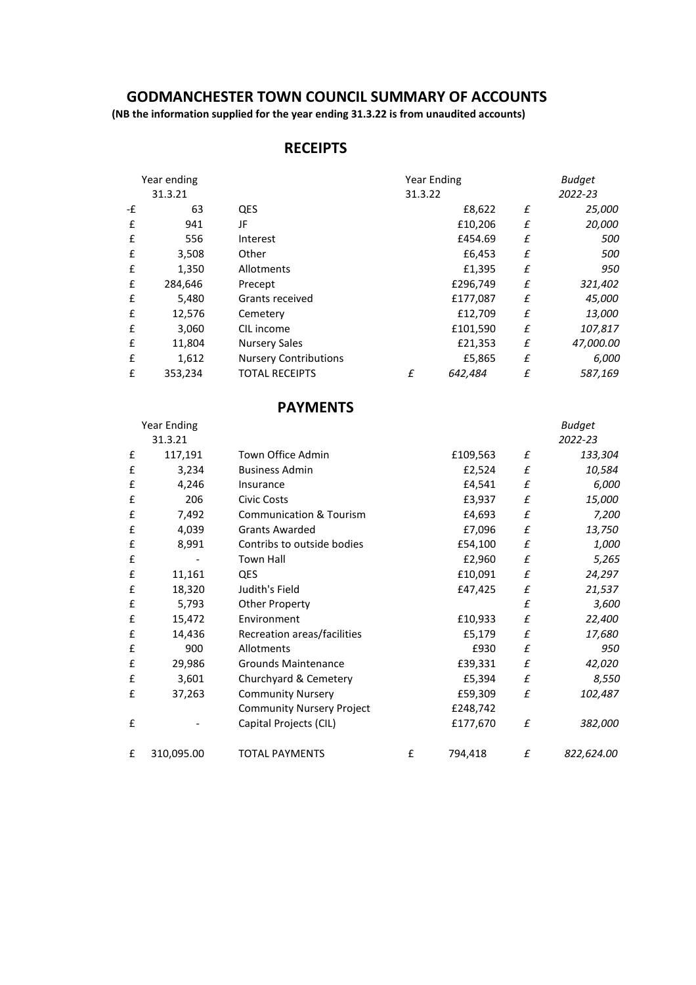## **GODMANCHESTER TOWN COUNCIL SUMMARY OF ACCOUNTS**

 **(NB the information supplied for the year ending 31.3.22 is from unaudited accounts)**

# **RECEIPTS**

| Year ending |         |                              | <b>Year Ending</b> |          | <b>Budget</b> |           |
|-------------|---------|------------------------------|--------------------|----------|---------------|-----------|
| 31.3.21     |         |                              | 31.3.22            |          | 2022-23       |           |
| -£          | 63      | QES                          |                    | £8,622   | £             | 25,000    |
| £           | 941     | JF                           |                    | £10,206  | £             | 20,000    |
| £           | 556     | Interest                     |                    | £454.69  | £             | 500       |
| £           | 3,508   | Other                        |                    | £6,453   | £             | 500       |
| £           | 1,350   | Allotments                   |                    | £1,395   | £             | 950       |
| £           | 284,646 | Precept                      |                    | £296,749 | £             | 321,402   |
| £           | 5,480   | Grants received              |                    | £177,087 | £             | 45,000    |
| £           | 12,576  | Cemetery                     |                    | £12,709  | £             | 13,000    |
| £           | 3,060   | CIL income                   |                    | £101,590 | £             | 107,817   |
| £           | 11,804  | <b>Nursery Sales</b>         |                    | £21,353  | £             | 47,000.00 |
| £           | 1,612   | <b>Nursery Contributions</b> |                    | £5,865   | £             | 6,000     |
| £           | 353,234 | <b>TOTAL RECEIPTS</b>        | £                  | 642,484  | £             | 587,169   |

# **PAYMENTS**

|   | Year Ending |                                    |   |          |   | Budget     |
|---|-------------|------------------------------------|---|----------|---|------------|
|   | 31.3.21     |                                    |   |          |   | 2022-23    |
| £ | 117,191     | Town Office Admin                  |   | £109,563 | £ | 133,304    |
| £ | 3,234       | <b>Business Admin</b>              |   | £2,524   | £ | 10,584     |
| £ | 4,246       | Insurance                          |   | £4,541   | £ | 6,000      |
| £ | 206         | <b>Civic Costs</b>                 |   | £3,937   | £ | 15,000     |
| £ | 7,492       | <b>Communication &amp; Tourism</b> |   | £4,693   | £ | 7,200      |
| £ | 4,039       | <b>Grants Awarded</b>              |   | £7,096   | £ | 13,750     |
| £ | 8,991       | Contribs to outside bodies         |   | £54,100  | £ | 1,000      |
| £ |             | <b>Town Hall</b>                   |   | £2,960   | £ | 5,265      |
| £ | 11,161      | QES                                |   | £10,091  | £ | 24,297     |
| £ | 18,320      | Judith's Field                     |   | £47,425  | £ | 21,537     |
| £ | 5,793       | Other Property                     |   |          | £ | 3,600      |
| £ | 15,472      | Environment                        |   | £10,933  | £ | 22,400     |
| £ | 14,436      | Recreation areas/facilities        |   | £5,179   | £ | 17,680     |
| £ | 900         | Allotments                         |   | £930     | £ | 950        |
| £ | 29,986      | Grounds Maintenance                |   | £39,331  | £ | 42,020     |
| £ | 3,601       | Churchyard & Cemetery              |   | £5,394   | £ | 8,550      |
| £ | 37,263      | <b>Community Nursery</b>           |   | £59,309  | £ | 102,487    |
|   |             | <b>Community Nursery Project</b>   |   | £248,742 |   |            |
| £ |             | Capital Projects (CIL)             |   | £177,670 | £ | 382,000    |
| £ | 310,095.00  | <b>TOTAL PAYMENTS</b>              | £ | 794,418  | £ | 822,624.00 |